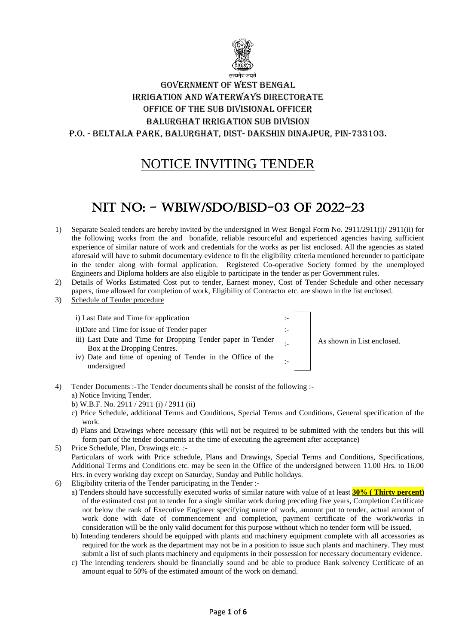

# Government of West Bengal Irrigation and Waterways Directorate Office of the SUB DIVISIONAL OFFICER Balurghat Irrigation SUB Division P.O. - Beltala park, Balurghat, Dist- Dakshin Dinajpur, Pin-733103.

# NOTICE INVITING TENDER

# NIT NO: - WBIW/SDO/BISD-03 of 2022-23

- 1) Separate Sealed tenders are hereby invited by the undersigned in West Bengal Form No. 2911/2911(i)/ 2911(ii) for the following works from the and bonafide, reliable resourceful and experienced agencies having sufficient experience of similar nature of work and credentials for the works as per list enclosed. All the agencies as stated aforesaid will have to submit documentary evidence to fit the eligibility criteria mentioned hereunder to participate in the tender along with formal application. Registered Co-operative Society formed by the unemployed Engineers and Diploma holders are also eligible to participate in the tender as per Government rules.
- 2) Details of Works Estimated Cost put to tender, Earnest money, Cost of Tender Schedule and other necessary papers, time allowed for completion of work, Eligibility of Contractor etc. are shown in the list enclosed.
- 3) Schedule of Tender procedure

i) Last Date and Time for application ii)Date and Time for issue of Tender paper iii) Last Date and Time for Dropping Tender paper in Tender Box at the Dropping Centres. iv) Date and time of opening of Tender in the Office of the undersigned

As shown in List enclosed.

- 4) Tender Documents :-The Tender documents shall be consist of the following : a) Notice Inviting Tender.
	- b) W.B.F. No. 2911 / 2911 (i) / 2911 (ii)
	- c) Price Schedule, additional Terms and Conditions, Special Terms and Conditions, General specification of the work.
	- d) Plans and Drawings where necessary (this will not be required to be submitted with the tenders but this will form part of the tender documents at the time of executing the agreement after acceptance)
- 5) Price Schedule, Plan, Drawings etc. :- Particulars of work with Price schedule, Plans and Drawings, Special Terms and Conditions, Specifications, Additional Terms and Conditions etc. may be seen in the Office of the undersigned between 11.00 Hrs. to 16.00 Hrs. in every working day except on Saturday, Sunday and Public holidays.
- 6) Eligibility criteria of the Tender participating in the Tender :
	- a) Tenders should have successfully executed works of similar nature with value of at least **30% ( Thirty percent)** of the estimated cost put to tender for a single similar work during preceding five years, Completion Certificate not below the rank of Executive Engineer specifying name of work, amount put to tender, actual amount of work done with date of commencement and completion, payment certificate of the work/works in consideration will be the only valid document for this purpose without which no tender form will be issued.
	- b) Intending tenderers should be equipped with plants and machinery equipment complete with all accessories as required for the work as the department may not be in a position to issue such plants and machinery. They must submit a list of such plants machinery and equipments in their possession for necessary documentary evidence.
	- c) The intending tenderers should be financially sound and be able to produce Bank solvency Certificate of an amount equal to 50% of the estimated amount of the work on demand.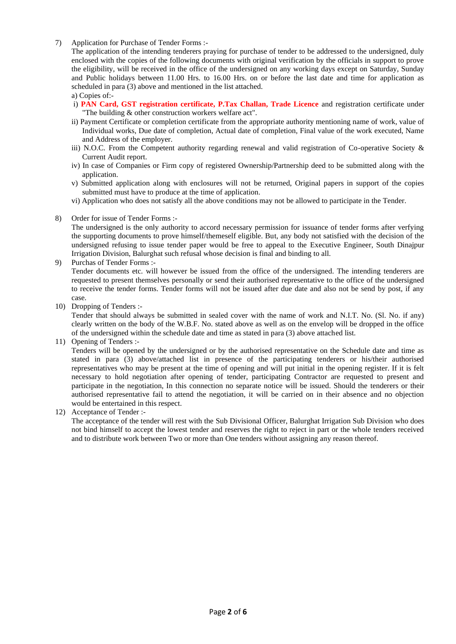7) Application for Purchase of Tender Forms :-

The application of the intending tenderers praying for purchase of tender to be addressed to the undersigned, duly enclosed with the copies of the following documents with original verification by the officials in support to prove the eligibility, will be received in the office of the undersigned on any working days except on Saturday, Sunday and Public holidays between 11.00 Hrs. to 16.00 Hrs. on or before the last date and time for application as scheduled in para (3) above and mentioned in the list attached.

a) Copies of:-

- i) **PAN Card, GST registration certificate, P.Tax Challan, Trade Licence** and registration certificate under "The building & other construction workers welfare act".
- ii) Payment Certificate or completion certificate from the appropriate authority mentioning name of work, value of Individual works, Due date of completion, Actual date of completion, Final value of the work executed, Name and Address of the employer.
- iii) N.O.C. From the Competent authority regarding renewal and valid registration of Co-operative Society & Current Audit report.
- iv) In case of Companies or Firm copy of registered Ownership/Partnership deed to be submitted along with the application.
- v) Submitted application along with enclosures will not be returned, Original papers in support of the copies submitted must have to produce at the time of application.
- vi) Application who does not satisfy all the above conditions may not be allowed to participate in the Tender.
- 8) Order for issue of Tender Forms :-

The undersigned is the only authority to accord necessary permission for issuance of tender forms after verfying the supporting documents to prove himself/themeself eligible. But, any body not satisfied with the decision of the undersigned refusing to issue tender paper would be free to appeal to the Executive Engineer, South Dinajpur Irrigation Division, Balurghat such refusal whose decision is final and binding to all.

9) Purchas of Tender Forms :-

Tender documents etc. will however be issued from the office of the undersigned. The intending tenderers are requested to present themselves personally or send their authorised representative to the office of the undersigned to receive the tender forms. Tender forms will not be issued after due date and also not be send by post, if any case.

10) Dropping of Tenders :-

Tender that should always be submitted in sealed cover with the name of work and N.I.T. No. (Sl. No. if any) clearly written on the body of the W.B.F. No. stated above as well as on the envelop will be dropped in the office of the undersigned within the schedule date and time as stated in para (3) above attached list.

11) Opening of Tenders :-

Tenders will be opened by the undersigned or by the authorised representative on the Schedule date and time as stated in para (3) above/attached list in presence of the participating tenderers or his/their authorised representatives who may be present at the time of opening and will put initial in the opening register. If it is felt necessary to hold negotiation after opening of tender, participating Contractor are requested to present and participate in the negotiation, In this connection no separate notice will be issued. Should the tenderers or their authorised representative fail to attend the negotiation, it will be carried on in their absence and no objection would be entertained in this respect.

12) Acceptance of Tender :-

The acceptance of the tender will rest with the Sub Divisional Officer, Balurghat Irrigation Sub Division who does not bind himself to accept the lowest tender and reserves the right to reject in part or the whole tenders received and to distribute work between Two or more than One tenders without assigning any reason thereof.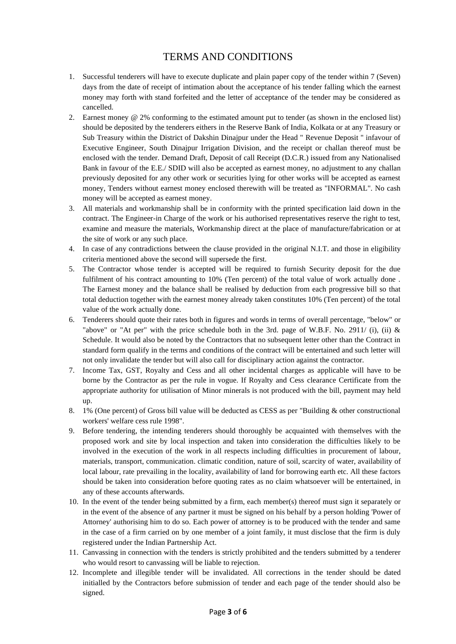# TERMS AND CONDITIONS

- 1. Successful tenderers will have to execute duplicate and plain paper copy of the tender within 7 (Seven) days from the date of receipt of intimation about the acceptance of his tender falling which the earnest money may forth with stand forfeited and the letter of acceptance of the tender may be considered as cancelled.
- 2. Earnest money @ 2% conforming to the estimated amount put to tender (as shown in the enclosed list) should be deposited by the tenderers eithers in the Reserve Bank of India, Kolkata or at any Treasury or Sub Treasury within the District of Dakshin Dinajpur under the Head " Revenue Deposit " infavour of Executive Engineer, South Dinajpur Irrigation Division, and the receipt or challan thereof must be enclosed with the tender. Demand Draft, Deposit of call Receipt (D.C.R.) issued from any Nationalised Bank in favour of the E.E./ SDID will also be accepted as earnest money, no adjustment to any challan previously deposited for any other work or securities lying for other works will be accepted as earnest money, Tenders without earnest money enclosed therewith will be treated as "INFORMAL". No cash money will be accepted as earnest money.
- 3. All materials and workmanship shall be in conformity with the printed specification laid down in the contract. The Engineer-in Charge of the work or his authorised representatives reserve the right to test, examine and measure the materials, Workmanship direct at the place of manufacture/fabrication or at the site of work or any such place.
- 4. In case of any contradictions between the clause provided in the original N.I.T. and those in eligibility criteria mentioned above the second will supersede the first.
- 5. The Contractor whose tender is accepted will be required to furnish Security deposit for the due fulfilment of his contract amounting to 10% (Ten percent) of the total value of work actually done . The Earnest money and the balance shall be realised by deduction from each progressive bill so that total deduction together with the earnest money already taken constitutes 10% (Ten percent) of the total value of the work actually done.
- 6. Tenderers should quote their rates both in figures and words in terms of overall percentage, "below" or "above" or "At per" with the price schedule both in the 3rd. page of W.B.F. No. 2911/ (i), (ii) & Schedule. It would also be noted by the Contractors that no subsequent letter other than the Contract in standard form qualify in the terms and conditions of the contract will be entertained and such letter will not only invalidate the tender but will also call for disciplinary action against the contractor.
- 7. Income Tax, GST, Royalty and Cess and all other incidental charges as applicable will have to be borne by the Contractor as per the rule in vogue. If Royalty and Cess clearance Certificate from the appropriate authority for utilisation of Minor minerals is not produced with the bill, payment may held up.
- 8. 1% (One percent) of Gross bill value will be deducted as CESS as per "Building & other constructional workers' welfare cess rule 1998".
- 9. Before tendering, the intending tenderers should thoroughly be acquainted with themselves with the proposed work and site by local inspection and taken into consideration the difficulties likely to be involved in the execution of the work in all respects including difficulties in procurement of labour, materials, transport, communication. climatic condition, nature of soil, scarcity of water, availability of local labour, rate prevailing in the locality, availability of land for borrowing earth etc. All these factors should be taken into consideration before quoting rates as no claim whatsoever will be entertained, in any of these accounts afterwards.
- 10. In the event of the tender being submitted by a firm, each member(s) thereof must sign it separately or in the event of the absence of any partner it must be signed on his behalf by a person holding 'Power of Attorney' authorising him to do so. Each power of attorney is to be produced with the tender and same in the case of a firm carried on by one member of a joint family, it must disclose that the firm is duly registered under the Indian Partnership Act.
- 11. Canvassing in connection with the tenders is strictly prohibited and the tenders submitted by a tenderer who would resort to canvassing will be liable to rejection.
- 12. Incomplete and illegible tender will be invalidated. All corrections in the tender should be dated initialled by the Contractors before submission of tender and each page of the tender should also be signed.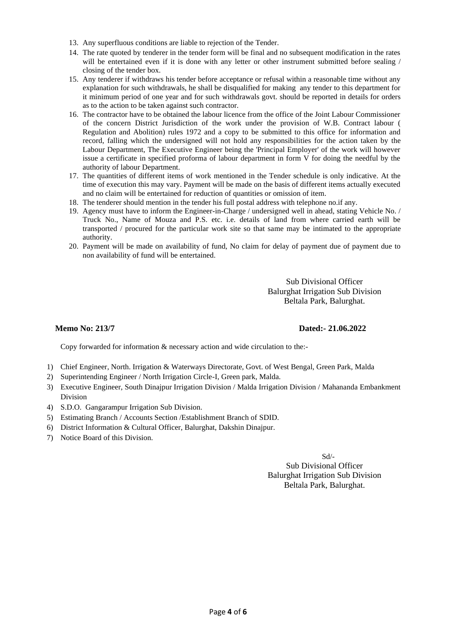- 13. Any superfluous conditions are liable to rejection of the Tender.
- 14. The rate quoted by tenderer in the tender form will be final and no subsequent modification in the rates will be entertained even if it is done with any letter or other instrument submitted before sealing / closing of the tender box.
- 15. Any tenderer if withdraws his tender before acceptance or refusal within a reasonable time without any explanation for such withdrawals, he shall be disqualified for making any tender to this department for it minimum period of one year and for such withdrawals govt. should be reported in details for orders as to the action to be taken against such contractor.
- 16. The contractor have to be obtained the labour licence from the office of the Joint Labour Commissioner of the concern District Jurisdiction of the work under the provision of W.B. Contract labour ( Regulation and Abolition) rules 1972 and a copy to be submitted to this office for information and record, falling which the undersigned will not hold any responsibilities for the action taken by the Labour Department, The Executive Engineer being the 'Principal Employer' of the work will however issue a certificate in specified proforma of labour department in form V for doing the needful by the authority of labour Department.
- 17. The quantities of different items of work mentioned in the Tender schedule is only indicative. At the time of execution this may vary. Payment will be made on the basis of different items actually executed and no claim will be entertained for reduction of quantities or omission of item.
- 18. The tenderer should mention in the tender his full postal address with telephone no.if any.
- 19. Agency must have to inform the Engineer-in-Charge / undersigned well in ahead, stating Vehicle No. / Truck No., Name of Mouza and P.S. etc. i.e. details of land from where carried earth will be transported / procured for the particular work site so that same may be intimated to the appropriate authority.
- 20. Payment will be made on availability of fund, No claim for delay of payment due of payment due to non availability of fund will be entertained.

Sub Divisional Officer Balurghat Irrigation Sub Division Beltala Park, Balurghat.

### **Memo No: 213/7 Dated:- 21.06.2022**

Copy forwarded for information & necessary action and wide circulation to the:-

- 1) Chief Engineer, North. Irrigation & Waterways Directorate, Govt. of West Bengal, Green Park, Malda
- 2) Superintending Engineer / North Irrigation Circle-I, Green park, Malda.
- 3) Executive Engineer, South Dinajpur Irrigation Division / Malda Irrigation Division / Mahananda Embankment Division
- 4) S.D.O. Gangarampur Irrigation Sub Division.
- 5) Estimating Branch / Accounts Section /Establishment Branch of SDID.
- 6) District Information & Cultural Officer, Balurghat, Dakshin Dinajpur.
- 7) Notice Board of this Division.

#### Sd/-

Sub Divisional Officer Balurghat Irrigation Sub Division Beltala Park, Balurghat.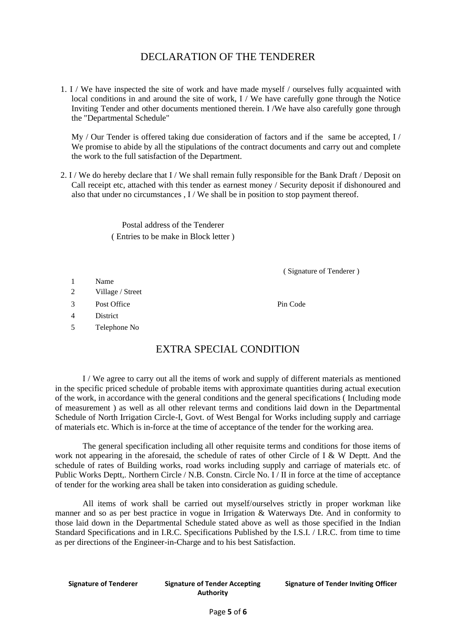## DECLARATION OF THE TENDERER

1. I / We have inspected the site of work and have made myself / ourselves fully acquainted with local conditions in and around the site of work, I / We have carefully gone through the Notice Inviting Tender and other documents mentioned therein. I /We have also carefully gone through the "Departmental Schedule"

 $My / Qur$  Tender is offered taking due consideration of factors and if the same be accepted,  $I / Qur$ We promise to abide by all the stipulations of the contract documents and carry out and complete the work to the full satisfaction of the Department.

2. I / We do hereby declare that I / We shall remain fully responsible for the Bank Draft / Deposit on Call receipt etc, attached with this tender as earnest money / Security deposit if dishonoured and also that under no circumstances , I / We shall be in position to stop payment thereof.

> Postal address of the Tenderer ( Entries to be make in Block letter )

> > ( Signature of Tenderer )

- 1 Name
- 2 Village / Street
- 3 Post Office Pin Code

4 District

5 Telephone No

# EXTRA SPECIAL CONDITION

I / We agree to carry out all the items of work and supply of different materials as mentioned in the specific priced schedule of probable items with approximate quantities during actual execution of the work, in accordance with the general conditions and the general specifications ( Including mode of measurement ) as well as all other relevant terms and conditions laid down in the Departmental Schedule of North Irrigation Circle-I, Govt. of West Bengal for Works including supply and carriage of materials etc. Which is in-force at the time of acceptance of the tender for the working area.

The general specification including all other requisite terms and conditions for those items of work not appearing in the aforesaid, the schedule of rates of other Circle of I & W Deptt. And the schedule of rates of Building works, road works including supply and carriage of materials etc. of Public Works Deptt,. Northern Circle / N.B. Constn. Circle No. I / II in force at the time of acceptance of tender for the working area shall be taken into consideration as guiding schedule.

All items of work shall be carried out myself/ourselves strictly in proper workman like manner and so as per best practice in vogue in Irrigation & Waterways Dte. And in conformity to those laid down in the Departmental Schedule stated above as well as those specified in the Indian Standard Specifications and in I.R.C. Specifications Published by the I.S.I. / I.R.C. from time to time as per directions of the Engineer-in-Charge and to his best Satisfaction.

**Signature of Tenderer Signature of Tender Accepting Authority**

**Signature of Tender Inviting Officer**